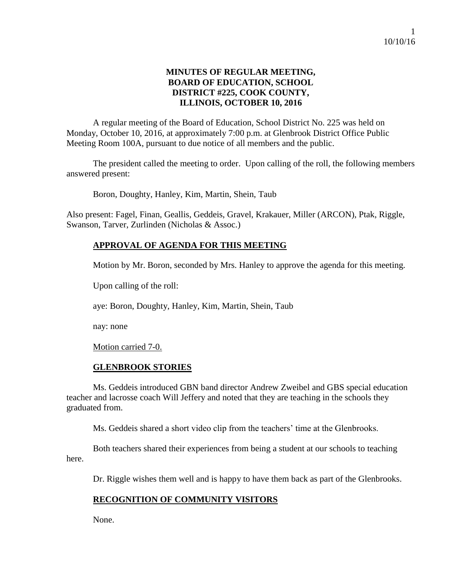### **MINUTES OF REGULAR MEETING, BOARD OF EDUCATION, SCHOOL DISTRICT #225, COOK COUNTY, ILLINOIS, OCTOBER 10, 2016**

A regular meeting of the Board of Education, School District No. 225 was held on Monday, October 10, 2016, at approximately 7:00 p.m. at Glenbrook District Office Public Meeting Room 100A, pursuant to due notice of all members and the public.

The president called the meeting to order. Upon calling of the roll, the following members answered present:

Boron, Doughty, Hanley, Kim, Martin, Shein, Taub

Also present: Fagel, Finan, Geallis, Geddeis, Gravel, Krakauer, Miller (ARCON), Ptak, Riggle, Swanson, Tarver, Zurlinden (Nicholas & Assoc.)

### **APPROVAL OF AGENDA FOR THIS MEETING**

Motion by Mr. Boron, seconded by Mrs. Hanley to approve the agenda for this meeting.

Upon calling of the roll:

aye: Boron, Doughty, Hanley, Kim, Martin, Shein, Taub

nay: none

Motion carried 7-0.

#### **GLENBROOK STORIES**

Ms. Geddeis introduced GBN band director Andrew Zweibel and GBS special education teacher and lacrosse coach Will Jeffery and noted that they are teaching in the schools they graduated from.

Ms. Geddeis shared a short video clip from the teachers' time at the Glenbrooks.

Both teachers shared their experiences from being a student at our schools to teaching here.

Dr. Riggle wishes them well and is happy to have them back as part of the Glenbrooks.

#### **RECOGNITION OF COMMUNITY VISITORS**

None.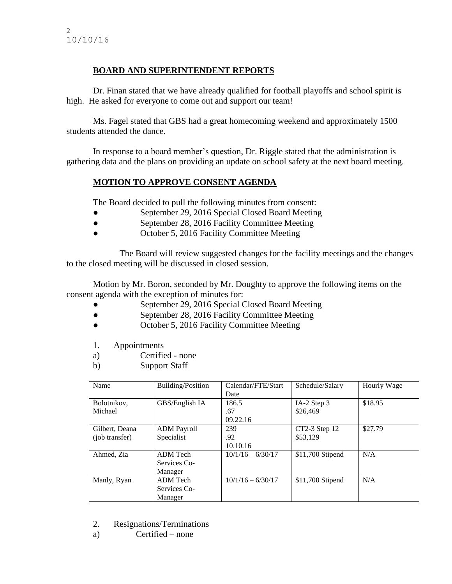# **BOARD AND SUPERINTENDENT REPORTS**

Dr. Finan stated that we have already qualified for football playoffs and school spirit is high. He asked for everyone to come out and support our team!

Ms. Fagel stated that GBS had a great homecoming weekend and approximately 1500 students attended the dance.

In response to a board member's question, Dr. Riggle stated that the administration is gathering data and the plans on providing an update on school safety at the next board meeting.

# **MOTION TO APPROVE CONSENT AGENDA**

The Board decided to pull the following minutes from consent:

- September 29, 2016 Special Closed Board Meeting
- September 28, 2016 Facility Committee Meeting
- October 5, 2016 Facility Committee Meeting

The Board will review suggested changes for the facility meetings and the changes to the closed meeting will be discussed in closed session.

Motion by Mr. Boron, seconded by Mr. Doughty to approve the following items on the consent agenda with the exception of minutes for:

- September 29, 2016 Special Closed Board Meeting
- September 28, 2016 Facility Committee Meeting
- October 5, 2016 Facility Committee Meeting
- 1. Appointments
- a) Certified none
- b) Support Staff

| Name           | Building/Position  | Calendar/FTE/Start  | Schedule/Salary  | Hourly Wage |
|----------------|--------------------|---------------------|------------------|-------------|
|                |                    | Date                |                  |             |
| Bolotnikov,    | GBS/English IA     | 186.5               | IA-2 Step 3      | \$18.95     |
| Michael        |                    | .67                 | \$26,469         |             |
|                |                    | 09.22.16            |                  |             |
| Gilbert, Deana | <b>ADM Payroll</b> | 239                 | CT2-3 Step 12    | \$27.79     |
| (job transfer) | Specialist         | .92                 | \$53,129         |             |
|                |                    | 10.10.16            |                  |             |
| Ahmed, Zia     | ADM Tech           | $10/1/16 - 6/30/17$ | \$11,700 Stipend | N/A         |
|                | Services Co-       |                     |                  |             |
|                | Manager            |                     |                  |             |
| Manly, Ryan    | ADM Tech           | $10/1/16 - 6/30/17$ | \$11,700 Stipend | N/A         |
|                | Services Co-       |                     |                  |             |
|                | Manager            |                     |                  |             |

- 2. Resignations/Terminations
- a) Certified none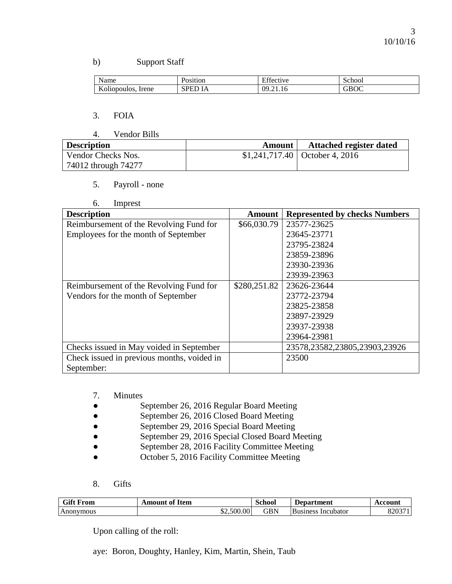### b) Support Staff

| Name                              | osition           | r cc<br>Effective | School |
|-----------------------------------|-------------------|-------------------|--------|
| <b>Y</b><br>Irene<br>Koliopoulos. | <b>RDL</b><br>1 ש | 09<br>7.21.IO     | GBOC   |

### 3. FOIA

4. Vendor Bills

| <b>Description</b>  | Amount | <b>Attached register dated</b>  |
|---------------------|--------|---------------------------------|
| Vendor Checks Nos.  |        | $$1,241,717.40$ October 4, 2016 |
| 74012 through 74277 |        |                                 |

5. Payroll - none

| 6. | Imprest |
|----|---------|
|----|---------|

| <b>Description</b>                         | <b>Amount</b> | <b>Represented by checks Numbers</b> |
|--------------------------------------------|---------------|--------------------------------------|
| Reimbursement of the Revolving Fund for    | \$66,030.79   | 23577-23625                          |
| Employees for the month of September       |               | 23645-23771                          |
|                                            |               | 23795-23824                          |
|                                            |               | 23859-23896                          |
|                                            |               | 23930-23936                          |
|                                            |               | 23939-23963                          |
| Reimbursement of the Revolving Fund for    | \$280,251.82  | 23626-23644                          |
| Vendors for the month of September         |               | 23772-23794                          |
|                                            |               | 23825-23858                          |
|                                            |               | 23897-23929                          |
|                                            |               | 23937-23938                          |
|                                            |               | 23964-23981                          |
| Checks issued in May voided in September   |               | 23578,23582,23805,23903,23926        |
| Check issued in previous months, voided in |               | 23500                                |
| September:                                 |               |                                      |

- 7. Minutes
- September 26, 2016 Regular Board Meeting
- September 26, 2016 Closed Board Meeting
- September 29, 2016 Special Board Meeting
- September 29, 2016 Special Closed Board Meeting
- September 28, 2016 Facility Committee Meeting
- October 5, 2016 Facility Committee Meeting
- 8. Gifts

| <b>Gift F</b><br>From | $\sim$<br>of Item<br>A mount | School               | <b>Department</b>            | Account      |
|-----------------------|------------------------------|----------------------|------------------------------|--------------|
| Anonymous             | 0.500.00                     | $\operatorname{GBN}$ | <b>Business</b><br>Incubator | 00027<br>o∠∪ |

Upon calling of the roll:

aye: Boron, Doughty, Hanley, Kim, Martin, Shein, Taub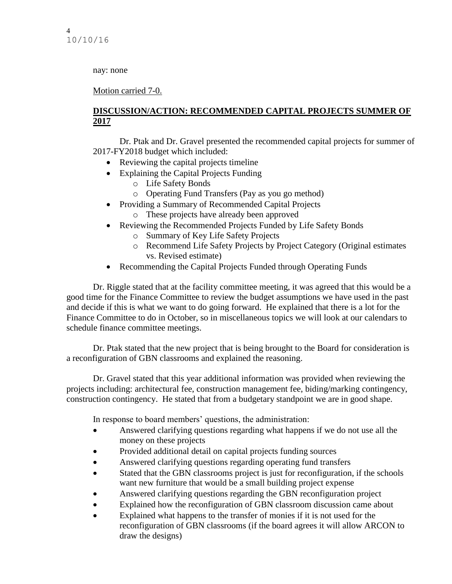nay: none

Motion carried 7-0.

# **DISCUSSION/ACTION: RECOMMENDED CAPITAL PROJECTS SUMMER OF 2017**

Dr. Ptak and Dr. Gravel presented the recommended capital projects for summer of 2017-FY2018 budget which included:

- Reviewing the capital projects timeline
- Explaining the Capital Projects Funding
	- o Life Safety Bonds
	- o Operating Fund Transfers (Pay as you go method)
- Providing a Summary of Recommended Capital Projects o These projects have already been approved
- Reviewing the Recommended Projects Funded by Life Safety Bonds
	- o Summary of Key Life Safety Projects
	- o Recommend Life Safety Projects by Project Category (Original estimates vs. Revised estimate)
- Recommending the Capital Projects Funded through Operating Funds

Dr. Riggle stated that at the facility committee meeting, it was agreed that this would be a good time for the Finance Committee to review the budget assumptions we have used in the past and decide if this is what we want to do going forward. He explained that there is a lot for the Finance Committee to do in October, so in miscellaneous topics we will look at our calendars to schedule finance committee meetings.

Dr. Ptak stated that the new project that is being brought to the Board for consideration is a reconfiguration of GBN classrooms and explained the reasoning.

Dr. Gravel stated that this year additional information was provided when reviewing the projects including: architectural fee, construction management fee, biding/marking contingency, construction contingency. He stated that from a budgetary standpoint we are in good shape.

In response to board members' questions, the administration:

- Answered clarifying questions regarding what happens if we do not use all the money on these projects
- Provided additional detail on capital projects funding sources
- Answered clarifying questions regarding operating fund transfers
- Stated that the GBN classrooms project is just for reconfiguration, if the schools want new furniture that would be a small building project expense
- Answered clarifying questions regarding the GBN reconfiguration project
- Explained how the reconfiguration of GBN classroom discussion came about
- Explained what happens to the transfer of monies if it is not used for the reconfiguration of GBN classrooms (if the board agrees it will allow ARCON to draw the designs)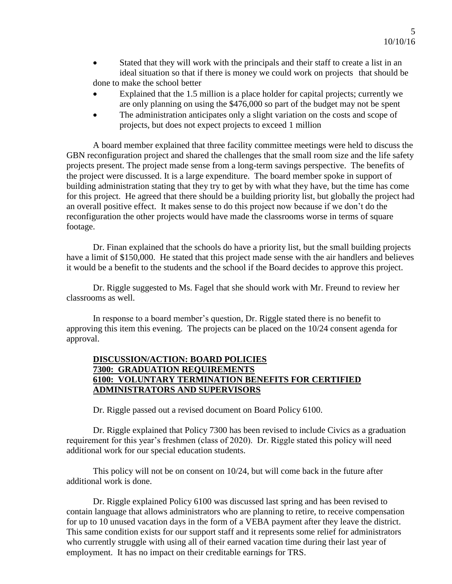- Stated that they will work with the principals and their staff to create a list in an ideal situation so that if there is money we could work on projects that should be done to make the school better
- Explained that the 1.5 million is a place holder for capital projects; currently we are only planning on using the \$476,000 so part of the budget may not be spent
- The administration anticipates only a slight variation on the costs and scope of projects, but does not expect projects to exceed 1 million

A board member explained that three facility committee meetings were held to discuss the GBN reconfiguration project and shared the challenges that the small room size and the life safety projects present. The project made sense from a long-term savings perspective. The benefits of the project were discussed. It is a large expenditure. The board member spoke in support of building administration stating that they try to get by with what they have, but the time has come for this project. He agreed that there should be a building priority list, but globally the project had an overall positive effect. It makes sense to do this project now because if we don't do the reconfiguration the other projects would have made the classrooms worse in terms of square footage.

Dr. Finan explained that the schools do have a priority list, but the small building projects have a limit of \$150,000. He stated that this project made sense with the air handlers and believes it would be a benefit to the students and the school if the Board decides to approve this project.

Dr. Riggle suggested to Ms. Fagel that she should work with Mr. Freund to review her classrooms as well.

In response to a board member's question, Dr. Riggle stated there is no benefit to approving this item this evening. The projects can be placed on the 10/24 consent agenda for approval.

# **DISCUSSION/ACTION: BOARD POLICIES 7300: GRADUATION REQUIREMENTS 6100: VOLUNTARY TERMINATION BENEFITS FOR CERTIFIED ADMINISTRATORS AND SUPERVISORS**

Dr. Riggle passed out a revised document on Board Policy 6100.

Dr. Riggle explained that Policy 7300 has been revised to include Civics as a graduation requirement for this year's freshmen (class of 2020). Dr. Riggle stated this policy will need additional work for our special education students.

This policy will not be on consent on 10/24, but will come back in the future after additional work is done.

Dr. Riggle explained Policy 6100 was discussed last spring and has been revised to contain language that allows administrators who are planning to retire, to receive compensation for up to 10 unused vacation days in the form of a VEBA payment after they leave the district. This same condition exists for our support staff and it represents some relief for administrators who currently struggle with using all of their earned vacation time during their last year of employment. It has no impact on their creditable earnings for TRS.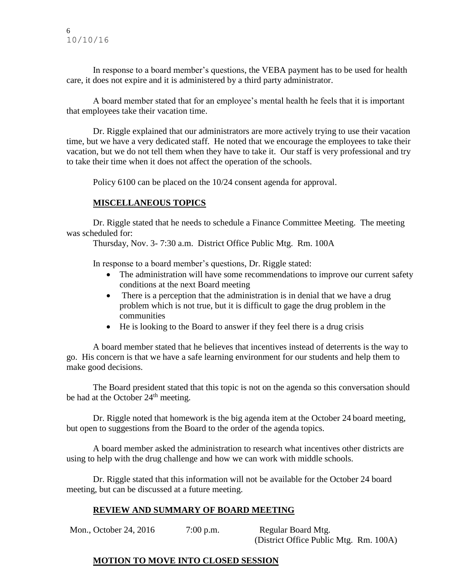In response to a board member's questions, the VEBA payment has to be used for health care, it does not expire and it is administered by a third party administrator.

A board member stated that for an employee's mental health he feels that it is important that employees take their vacation time.

Dr. Riggle explained that our administrators are more actively trying to use their vacation time, but we have a very dedicated staff. He noted that we encourage the employees to take their vacation, but we do not tell them when they have to take it. Our staff is very professional and try to take their time when it does not affect the operation of the schools.

Policy 6100 can be placed on the 10/24 consent agenda for approval.

# **MISCELLANEOUS TOPICS**

Dr. Riggle stated that he needs to schedule a Finance Committee Meeting. The meeting was scheduled for:

Thursday, Nov. 3- 7:30 a.m. District Office Public Mtg. Rm. 100A

In response to a board member's questions, Dr. Riggle stated:

- The administration will have some recommendations to improve our current safety conditions at the next Board meeting
- There is a perception that the administration is in denial that we have a drug problem which is not true, but it is difficult to gage the drug problem in the communities
- He is looking to the Board to answer if they feel there is a drug crisis

A board member stated that he believes that incentives instead of deterrents is the way to go. His concern is that we have a safe learning environment for our students and help them to make good decisions.

The Board president stated that this topic is not on the agenda so this conversation should be had at the October 24<sup>th</sup> meeting.

Dr. Riggle noted that homework is the big agenda item at the October 24 board meeting, but open to suggestions from the Board to the order of the agenda topics.

A board member asked the administration to research what incentives other districts are using to help with the drug challenge and how we can work with middle schools.

Dr. Riggle stated that this information will not be available for the October 24 board meeting, but can be discussed at a future meeting.

# **REVIEW AND SUMMARY OF BOARD MEETING**

Mon., October 24, 2016 7:00 p.m. Regular Board Mtg. (District Office Public Mtg. Rm. 100A)

# **MOTION TO MOVE INTO CLOSED SESSION**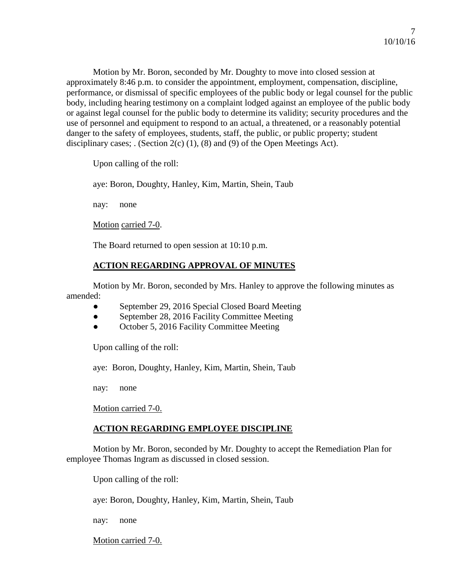Motion by Mr. Boron, seconded by Mr. Doughty to move into closed session at approximately 8:46 p.m. to consider the appointment, employment, compensation, discipline, performance, or dismissal of specific employees of the public body or legal counsel for the public body, including hearing testimony on a complaint lodged against an employee of the public body or against legal counsel for the public body to determine its validity; security procedures and the use of personnel and equipment to respond to an actual, a threatened, or a reasonably potential danger to the safety of employees, students, staff, the public, or public property; student disciplinary cases; . (Section 2(c) (1), (8) and (9) of the Open Meetings Act).

Upon calling of the roll:

aye: Boron, Doughty, Hanley, Kim, Martin, Shein, Taub

nay: none

Motion carried 7-0.

The Board returned to open session at 10:10 p.m.

# **ACTION REGARDING APPROVAL OF MINUTES**

Motion by Mr. Boron, seconded by Mrs. Hanley to approve the following minutes as amended:

- September 29, 2016 Special Closed Board Meeting
- September 28, 2016 Facility Committee Meeting
- October 5, 2016 Facility Committee Meeting

Upon calling of the roll:

aye: Boron, Doughty, Hanley, Kim, Martin, Shein, Taub

nay: none

Motion carried 7-0.

# **ACTION REGARDING EMPLOYEE DISCIPLINE**

Motion by Mr. Boron, seconded by Mr. Doughty to accept the Remediation Plan for employee Thomas Ingram as discussed in closed session.

Upon calling of the roll:

aye: Boron, Doughty, Hanley, Kim, Martin, Shein, Taub

nay: none

Motion carried 7-0.